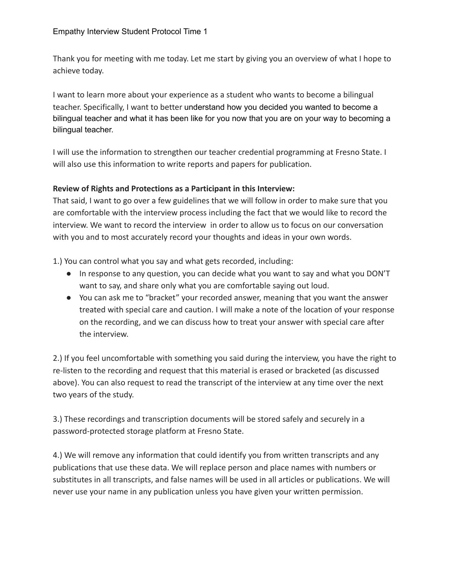Thank you for meeting with me today. Let me start by giving you an overview of what I hope to achieve today.

I want to learn more about your experience as a student who wants to become a bilingual teacher. Specifically, I want to better understand how you decided you wanted to become a bilingual teacher and what it has been like for you now that you are on your way to becoming a bilingual teacher.

I will use the information to strengthen our teacher credential programming at Fresno State. I will also use this information to write reports and papers for publication.

## **Review of Rights and Protections as a Participant in this Interview:**

That said, I want to go over a few guidelines that we will follow in order to make sure that you are comfortable with the interview process including the fact that we would like to record the interview. We want to record the interview in order to allow us to focus on our conversation with you and to most accurately record your thoughts and ideas in your own words.

1.) You can control what you say and what gets recorded, including:

- In response to any question, you can decide what you want to say and what you DON'T want to say, and share only what you are comfortable saying out loud.
- You can ask me to "bracket" your recorded answer, meaning that you want the answer treated with special care and caution. I will make a note of the location of your response on the recording, and we can discuss how to treat your answer with special care after the interview.

2.) If you feel uncomfortable with something you said during the interview, you have the right to re-listen to the recording and request that this material is erased or bracketed (as discussed above). You can also request to read the transcript of the interview at any time over the next two years of the study.

3.) These recordings and transcription documents will be stored safely and securely in a password-protected storage platform at Fresno State.

4.) We will remove any information that could identify you from written transcripts and any publications that use these data. We will replace person and place names with numbers or substitutes in all transcripts, and false names will be used in all articles or publications. We will never use your name in any publication unless you have given your written permission.